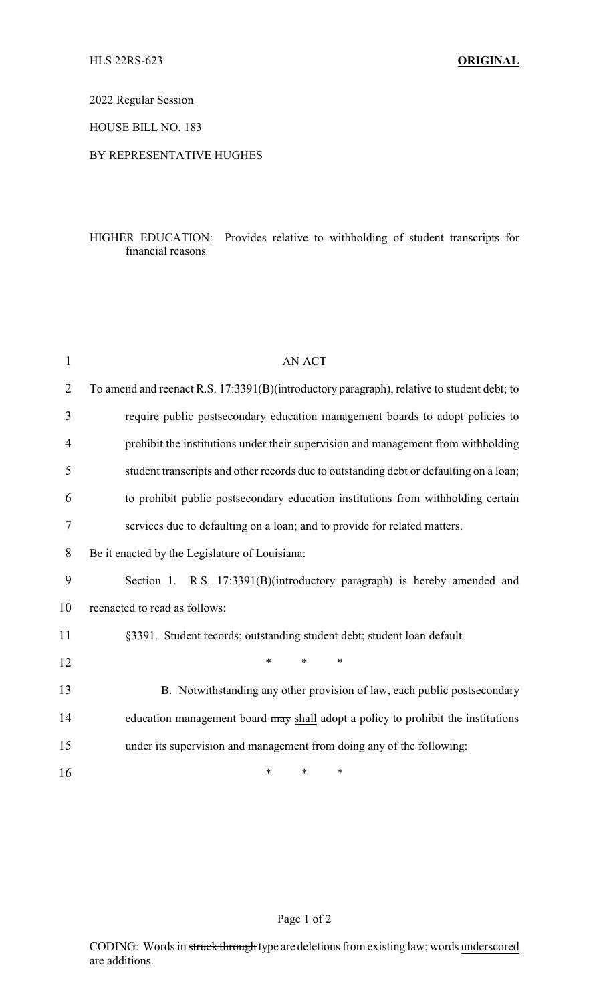2022 Regular Session

HOUSE BILL NO. 183

## BY REPRESENTATIVE HUGHES

## HIGHER EDUCATION: Provides relative to withholding of student transcripts for financial reasons

| $\mathbf{1}$   | <b>AN ACT</b>                                                                              |
|----------------|--------------------------------------------------------------------------------------------|
| $\overline{2}$ | To amend and reenact R.S. 17:3391(B)(introductory paragraph), relative to student debt; to |
| 3              | require public postsecondary education management boards to adopt policies to              |
| 4              | prohibit the institutions under their supervision and management from withholding          |
| 5              | student transcripts and other records due to outstanding debt or defaulting on a loan;     |
| 6              | to prohibit public postsecondary education institutions from withholding certain           |
| 7              | services due to defaulting on a loan; and to provide for related matters.                  |
| 8              | Be it enacted by the Legislature of Louisiana:                                             |
| 9              | Section 1. R.S. 17:3391(B)(introductory paragraph) is hereby amended and                   |
| 10             | reenacted to read as follows:                                                              |
| 11             | §3391. Student records; outstanding student debt; student loan default                     |
| 12             | $\ast$<br>$\ast$<br>$\ast$                                                                 |
| 13             | B. Notwithstanding any other provision of law, each public postsecondary                   |
| 14             | education management board may shall adopt a policy to prohibit the institutions           |
| 15             | under its supervision and management from doing any of the following:                      |
| 16             | *<br>*<br>∗                                                                                |